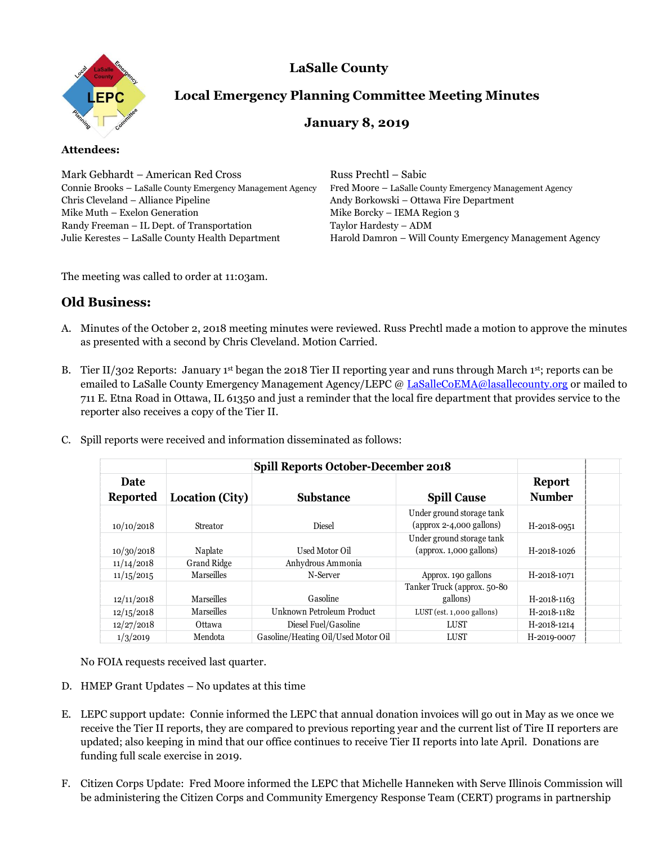



# **Local Emergency Planning Committee Meeting Minutes**

## **January 8, 2019**

## **Attendees:**

Mark Gebhardt – American Red Cross Russ Prechtl – Sabic Connie Brooks – LaSalle County Emergency Management Agency Fred Moore – LaSalle County Emergency Management Agency Chris Cleveland – Alliance Pipeline Andy Borkowski – Ottawa Fire Department Mike Muth – Exelon Generation Mike Borcky – IEMA Region 3 Randy Freeman – IL Dept. of Transportation Taylor Hardesty – ADM

Julie Kerestes - LaSalle County Health Department Harold Damron - Will County Emergency Management Agency

The meeting was called to order at 11:03am.

## **Old Business:**

- A. Minutes of the October 2, 2018 meeting minutes were reviewed. Russ Prechtl made a motion to approve the minutes as presented with a second by Chris Cleveland. Motion Carried.
- B. Tier II/302 Reports: January 1st began the 2018 Tier II reporting year and runs through March 1st; reports can be emailed to LaSalle County Emergency Management Agency/LEPC [@ LaSalleCoEMA@lasallecounty.org](mailto:LaSalleCoEMA@lasallecounty.org) or mailed to 711 E. Etna Road in Ottawa, IL 61350 and just a reminder that the local fire department that provides service to the reporter also receives a copy of the Tier II.

|  |  |  |  | C. Spill reports were received and information disseminated as follows: |  |
|--|--|--|--|-------------------------------------------------------------------------|--|
|--|--|--|--|-------------------------------------------------------------------------|--|

| Date<br><b>Reported</b> | Location (City)    | <b>Substance</b>                    | <b>Spill Cause</b>                                      | <b>Report</b><br><b>Number</b> |  |
|-------------------------|--------------------|-------------------------------------|---------------------------------------------------------|--------------------------------|--|
| 10/10/2018              | <b>Streator</b>    | <b>Diesel</b>                       | Under ground storage tank<br>$(approx 2-4,000 gallons)$ | H-2018-0951                    |  |
| 10/30/2018              | Naplate            | Used Motor Oil                      | Under ground storage tank<br>(approx. 1,000 gallons)    | H-2018-1026                    |  |
| 11/14/2018              | <b>Grand Ridge</b> | Anhydrous Ammonia                   |                                                         |                                |  |
| 11/15/2015              | Marseilles         | N-Server                            | Approx. 190 gallons                                     | H-2018-1071                    |  |
| 12/11/2018              | Marseilles         | Gasoline                            | Tanker Truck (approx. 50-80<br>gallons)                 | H-2018-1163                    |  |
| 12/15/2018              | Marseilles         | Unknown Petroleum Product           | $LUST$ (est. 1,000 gallons)                             | H-2018-1182                    |  |
| 12/27/2018              | Ottawa             | Diesel Fuel/Gasoline                | LUST                                                    | H-2018-1214                    |  |
| 1/3/2019                | Mendota            | Gasoline/Heating Oil/Used Motor Oil | LUST                                                    | H-2019-0007                    |  |

No FOIA requests received last quarter.

- D. HMEP Grant Updates No updates at this time
- E. LEPC support update: Connie informed the LEPC that annual donation invoices will go out in May as we once we receive the Tier II reports, they are compared to previous reporting year and the current list of Tire II reporters are updated; also keeping in mind that our office continues to receive Tier II reports into late April. Donations are funding full scale exercise in 2019.
- F. Citizen Corps Update: Fred Moore informed the LEPC that Michelle Hanneken with Serve Illinois Commission will be administering the Citizen Corps and Community Emergency Response Team (CERT) programs in partnership